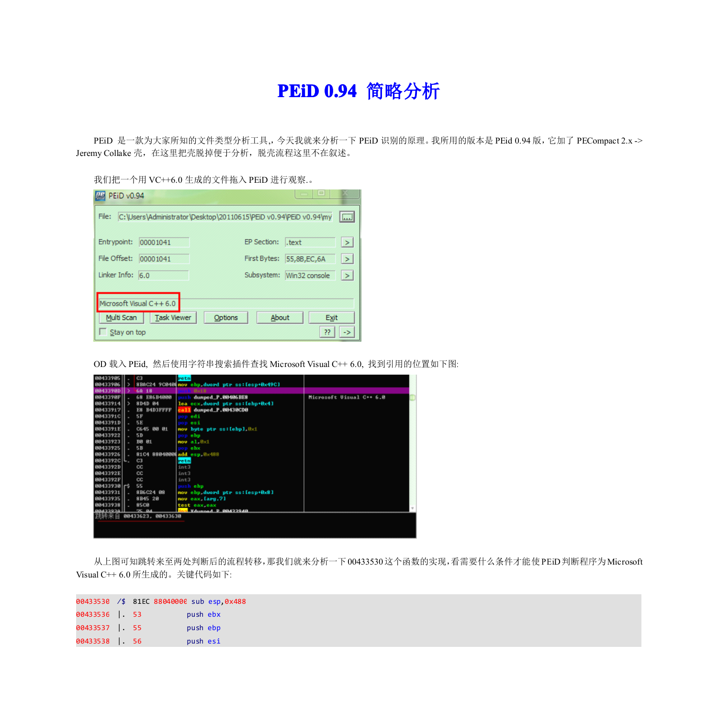## **PEiD 0.94** 简略分析

PEiD 是一款为大家所知的文件类型分析工具,, 今天我就来分析一下 PEiD 识别的原理。我所用的版本是 PEid 0.94 版, 它加了 PECompact 2.x -> Jeremy Collake 壳, 在这里把壳脱掉便于分析, 脱壳流程这里不在叙述。

我们把一个用 VC++6.0 生成的文件拖入 PEiD 进行观察.。

| PEiD v0.94       |                         |                                                                   |              | $=$                      |                 |
|------------------|-------------------------|-------------------------------------------------------------------|--------------|--------------------------|-----------------|
| File:            |                         | C: \Users\Administrator\Desktop\20110615\PEiD v0.94\PEiD v0.94\my |              |                          | $\overline{AB}$ |
| Entrypoint:      | 00001041                |                                                                   | EP Section:  | l.text                   | $\geq$          |
| File Offset:     | 00001041                |                                                                   | First Bytes: | 55,8B,EC,6A              | $\geq$          |
| Linker Info: 6.0 |                         |                                                                   |              | Subsystem: Win32 console |                 |
|                  | Microsoft Visual C++6.0 |                                                                   |              |                          |                 |
| Multi Scan       | <b>Task Viewer</b>      | Options                                                           | About        | Exit                     |                 |
| Stay on top      |                         |                                                                   |              | ??                       |                 |

OD 载入 PEid, 然后使用字符串搜索插件查找 Microsoft Visual C++ 6.0, 找到引用的位置如下图:



从上图可知跳转来至两处判断后的流程转移,那我们就来分析一下00433530这个函数的实现,看需要什么条件才能使PEiD判断程序为Microsoft Visual C++ 6.0 所生成的。关键代码如下:

|                 |  | 00433530 /\$ 81EC 88040000 sub esp, 0x488 |  |
|-----------------|--|-------------------------------------------|--|
| 00433536   . 53 |  | push ebx                                  |  |
| 00433537   . 55 |  | push ebp                                  |  |
| 00433538   56   |  | push esi                                  |  |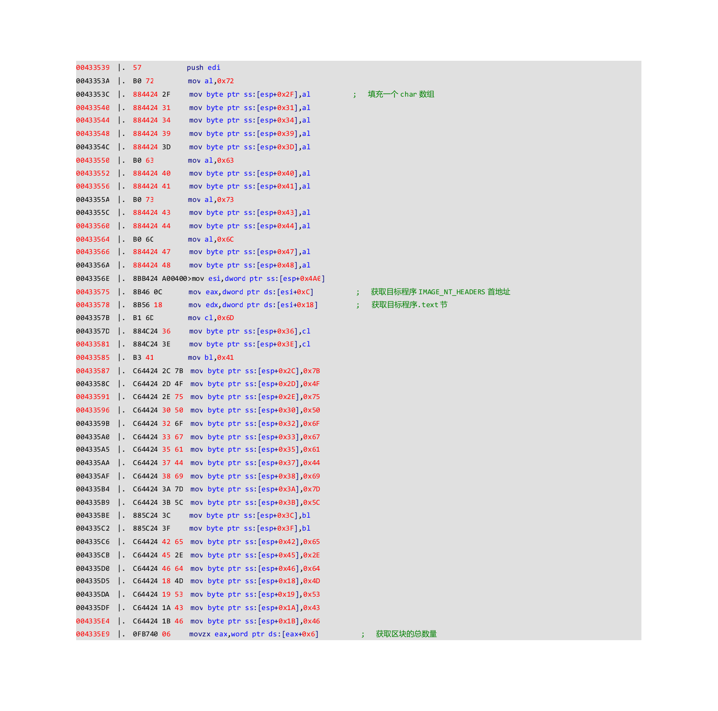| 00433539 | 57        | push edi                                                |              |                             |
|----------|-----------|---------------------------------------------------------|--------------|-----------------------------|
| 0043353A | B0 72     | $mov$ al, $0x72$                                        |              |                             |
| 0043353C | 884424 2F | mov byte ptr ss: [esp+0x2F], al                         |              | 填充一个 char 数组                |
| 00433540 | 884424 31 | mov byte ptr ss: [esp+0x31], al                         |              |                             |
| 00433544 | 884424 34 | mov byte ptr ss: [esp+0x34],al                          |              |                             |
| 00433548 | 884424 39 | mov byte ptr ss: [esp+0x39],al                          |              |                             |
| 0043354C | 884424 3D | mov byte ptr ss: [esp+0x3D], al                         |              |                             |
| 00433550 | B0 63     | $mov$ al, $0x63$                                        |              |                             |
| 00433552 | 884424 40 | mov byte ptr ss: [esp+0x40], al                         |              |                             |
| 00433556 | 884424 41 | mov byte ptr ss: [esp+0x41], al                         |              |                             |
| 0043355A | B0 73     | $mov$ al, $0x73$                                        |              |                             |
| 0043355C | 884424 43 | mov byte ptr ss: [esp+0x43], al                         |              |                             |
| 00433560 | 884424 44 | mov byte ptr ss: [esp+0x44], al                         |              |                             |
| 00433564 | B0 6C     | $mov$ al, $0x6C$                                        |              |                             |
| 00433566 | 884424 47 | mov byte ptr ss: [esp+0x47], al                         |              |                             |
| 0043356A | 884424 48 | mov byte ptr ss: [esp+0x48], al                         |              |                             |
| 0043356E |           | 8BB424 A00400>mov esi, dword ptr ss: [esp+0x4A0]        |              |                             |
| 00433575 | . 8B460C  | mov eax, dword ptr ds: [esi+0xC]                        | 3            | 获取目标程序 IMAGE_NT_HEADERS 首地址 |
| 00433578 | 8B56 18   | mov edx, dword ptr ds: [esi+0x18]                       | $\mathbf{E}$ | 获取目标程序.text 节               |
| 0043357B | B1 6D     | mov c1, 0x6D                                            |              |                             |
| 0043357D | 884C24 36 | nov byte ptr ss: [esp+0x36], cl                         |              |                             |
| 00433581 | 884C24 3E | nov byte ptr ss: [esp+0x3E], cl                         |              |                             |
| 00433585 | B3 41     | mov b1, 0x41                                            |              |                             |
| 00433587 |           | C64424 2C 7B mov byte ptr ss: [esp+0x2C], 0x7B          |              |                             |
| 0043358C |           | . $C64424$ 2D 4F mov byte ptr ss: $[esp+0x2D]$ , $0x4F$ |              |                             |
| 00433591 |           | . C64424 2E 75 mov byte ptr ss: [esp+0x2E],0x75         |              |                             |
| 00433596 |           | . C64424 30 50 mov byte ptr ss:[esp+0x30],0x50          |              |                             |
| 0043359B |           | . C64424 32 6F mov byte ptr ss: [esp+0x32], 0x6F        |              |                             |
| 004335AC |           | C64424 33 67 mov byte ptr ss: [esp+0x33], 0x67          |              |                             |
| 004335A5 |           | C64424 35 61 mov byte ptr ss: [esp+0x35], 0x61          |              |                             |
| 004335AA |           | C64424 37 44 mov byte ptr ss: [esp+0x37],0x44           |              |                             |
| 004335AF |           | . C64424 38 69 mov byte ptr ss: [esp+0x38],0x69         |              |                             |
| 004335B4 |           | . C64424 3A 7D mov byte ptr ss:[esp+0x3A],0x7D          |              |                             |
| 004335B9 |           | C64424 3B 5C mov byte ptr ss: [esp+0x3B], 0x5C          |              |                             |
| 004335BE | 885C24 3C | mov byte ptr ss: [esp+0x3C], bl                         |              |                             |
| 004335C2 | 885C24 3F | mov byte ptr ss: [esp+0x3F],bl                          |              |                             |
| 004335C6 |           | 0x65, C64424 42 65 mov byte ptr ss: [esp+0x42]          |              |                             |
| 004335CB |           | C64424 45 2E mov byte ptr ss: [esp+0x45], 0x2E          |              |                             |
| 004335DC |           | C64424 46 64 mov byte ptr ss: [esp+0x46], 0x64          |              |                             |
| 004335D5 |           | 0x4D,(esp+0x18).c64424 18 4D mov byte ptr ss:           |              |                             |
| 004335DA |           | C64424 19 53 mov byte ptr ss: [esp+0x19], 0x53          |              |                             |
| 004335DF |           | . C64424 1A 43 mov byte ptr ss: [esp+0x1A], 0x43        |              |                             |
| 004335E4 |           | 6x46, C64424 1B 46 mov byte ptr ss: [esp+0x1B]          |              |                             |
| 004335E9 | 0FB740 06 | movzx eax, word ptr ds: [eax+0x6]                       |              | 获取区块的总数量                    |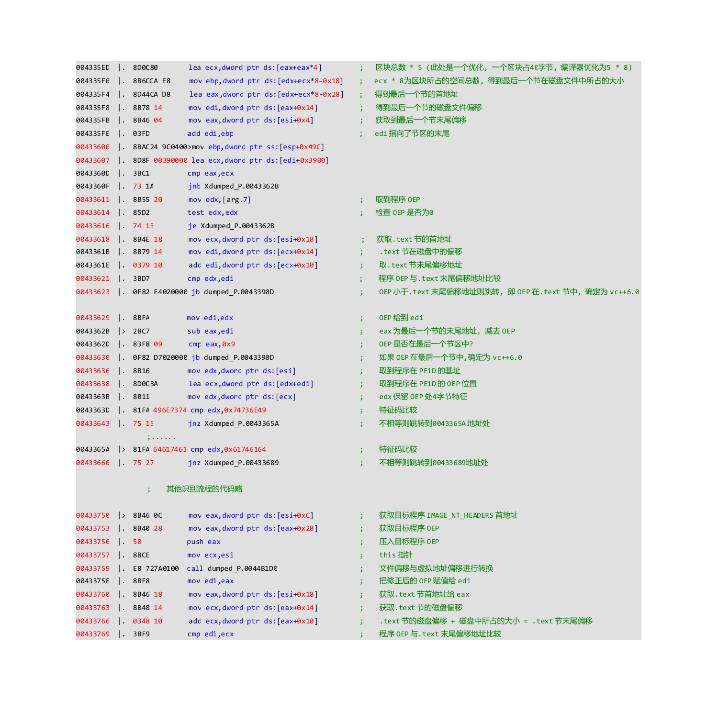| 004335ED             | $\vert$ . 8D0C80       | lea ecx, dword ptr ds: [eax+eax*4]                             |                      | 区块总数 * 5 (此处是一个优化, 一个区块占40字节, 编译器优化为5 * 8)          |
|----------------------|------------------------|----------------------------------------------------------------|----------------------|-----------------------------------------------------|
| 004335FC             | $\vert$ . 8B6CCA E8    | mov ebp, dword ptr $ds:[edx+ecx*8-0x18]$ ;                     |                      | ecx * 8为区块所占的空间总数, 得到最后一个节在磁盘文件中所占的大小               |
| 004335F4             | $\vert$ . 8D44CA D8    | lea eax, dword ptr ds: $[edx+ecx*8-0x28]$ ;                    |                      | 得到最后一个节的首地址                                         |
| 004335F8             | $\vert$ . 8B78 14      | mov edi, dword ptr ds: [eax+0x14]                              | $\cdot$ :            | 得到最后一个节的磁盘文件偏移                                      |
| 004335FB             | $\vert$ . 8B46 04      | mov eax,dword ptr ds:[esi+0x4]                                 | $\cdot$ ;            | 获取到最后一个节末尾偏移                                        |
| 004335FE             | $\vert$ . 03FD         | add edi, ebp                                                   |                      | edi 指向了节区的末尾                                        |
|                      |                        | 00433600   . 8BAC24 9C0400>mov ebp, dword ptr ss: [esp+0x49C]  |                      |                                                     |
|                      |                        | 00433607   . 8D8F 00390000 lea ecx, dword ptr ds: [edi+0x3900] |                      |                                                     |
| 0043360D             | $\vert$ . 3BC1         | cmp eax, ecx                                                   |                      |                                                     |
| 0043360F . 73 1A     |                        | jnb Xdumped_P.0043362B                                         |                      |                                                     |
| 00433611   . 8B55 20 |                        | mov $edx$ , $[arg.7]$                                          |                      | 取到程序 OEP                                            |
| 00433614   . 85D2    |                        | test edx, edx                                                  |                      | 检查 OEP 是否为0                                         |
| 00433616   . 74 13   |                        | je Xdumped_P.0043362B                                          |                      |                                                     |
| 00433618 . 8B4E 18   |                        | movecx, dword ptr ds: [esi+0x18] ;                             |                      | 获取.text 节的首地址                                       |
| 0043361B             | $\vert$ . 8B79 14      | mov edi,dword ptr ds: [ecx+0x14]                               | $\mathbf{I}$         | .text 节在磁盘中的偏移                                      |
| 0043361E   0379 10   |                        | add edi,dword ptr ds:[ecx+0x10]                                | $\rightarrow$        | 取.text 节末尾偏移地址                                      |
| 00433621   . 3BD7    |                        | cmp edx, edi                                                   | $\mathbf{E}$         | 程序 OEP 与.text 末尾偏移地址比较                              |
|                      |                        | 00433623  . 0F82 E4020000 jb dumped P.0043390D                 | $\mathbf{E}$         | 0EP 小于. text 末尾偏移地址则跳转,即 0EP 在. text 节中,确定为 vc++6.0 |
| 00433629 . 8BFA      |                        | mov edi, edx                                                   | $\mathbf{E}$         | OEP 给到 edi                                          |
| 0043362B             | $\Rightarrow$ 2BC7     | sub eax, edi                                                   | $\mathbf{E}$         | eax 为最后一个节的末尾地址, 减去 OEP                             |
| 0043362D             | $\vert$ . 83F8 09      | cmp eax, 0x9                                                   | $\mathbf{E}$         | OEP 是否在最后一个节区中?                                     |
|                      |                        | 00433630   . 0F82 D7020000 jb dumped P.0043390D                | $\mathbf{E}$         | 如果 OEP 在最后一个节中, 确定为 vc++6.0                         |
| 00433636   . 8B16    |                        | mov edx, dword ptr ds: [esi]                                   | -31                  | 取到程序在 PEiD 的基址                                      |
| 00433638             | $\vert$ . 8D0C3A       | lea ecx,dword ptr ds:[edx+edi]                                 | -31                  | 取到程序在 PEiD 的 OEP 位置                                 |
| 0043363B             | $\vert$ . 8B11         | mov edx, dword ptr ds: [ecx]                                   | 3.                   | edx 保留 OEP 处4字节特征                                   |
|                      |                        | 0043363D   81FA 496E7374 cmp edx, 0x74736E49                   | 3.                   | 特征码比较                                               |
| 00433643 . 75 15     |                        | jnz Xdumped_P.0043365A                                         |                      | 不相等则跳转到0043365A 地址处                                 |
|                      | المتمعية والمراق       |                                                                |                      |                                                     |
|                      |                        | 0043365A > 81FA 64617461 cmp edx, 0x61746164                   | $\mathbf{E}$         | 特征码比较                                               |
| 00433660 . 75 27     |                        | jnz Xdumped_P.00433689                                         | 3.                   | 不相等则跳转到00433689地址处                                  |
|                      | ÷                      | 其他识别流程的代码略                                                     |                      |                                                     |
| 00433750 > 8B46 0C   |                        | mov eax, dword ptr ds: [esi+0xC]                               | $\mathbf{E}$         | 获取目标程序 IMAGE_NT_HEADERS 首地址                         |
| 00433753   . 8B40 28 |                        | mov eax, dword ptr ds: [eax+0x28]                              | $\ddot{\phantom{1}}$ | 获取目标程序 OEP                                          |
| 00433756   . 50      |                        | push eax                                                       |                      | 压入目标程序 OEP                                          |
| 00433757   . 8BCE    |                        | mov ecx, esi                                                   | 3.                   | this 指针                                             |
|                      | 00433759 . E8 727A0100 | call dumped P.0044B1D0                                         |                      | 文件偏移与虚拟地址偏移进行转换                                     |
| 0043375E             | $\vert$ . 8BF8         | mov edi, eax                                                   | $\mathbf{E}$         | 把修正后的 OEP 赋值给 edi                                   |
| 00433760 . 8B46 18   |                        | mov eax, dword ptr ds: [esi+0x18]                              | $\mathbf{E}$         | 获取. text 节首地址给 eax                                  |
| 00433763   . 8B48 14 |                        | mov ecx, dword ptr ds: [eax+0x14]                              | $\ddot{\bullet}$     | 获取.text 节的磁盘偏移                                      |
| 00433766   0348 10   |                        | add ecx, dword ptr ds: [eax+0x10]                              | $\ddot{\bullet}$     | .text 节的磁盘偏移 + 磁盘中所占的大小 = .text 节末尾偏移               |
| 00433769   . 3BF9    |                        | cmp edi, ecx                                                   |                      | 程序 OEP 与.text 末尾偏移地址比较                              |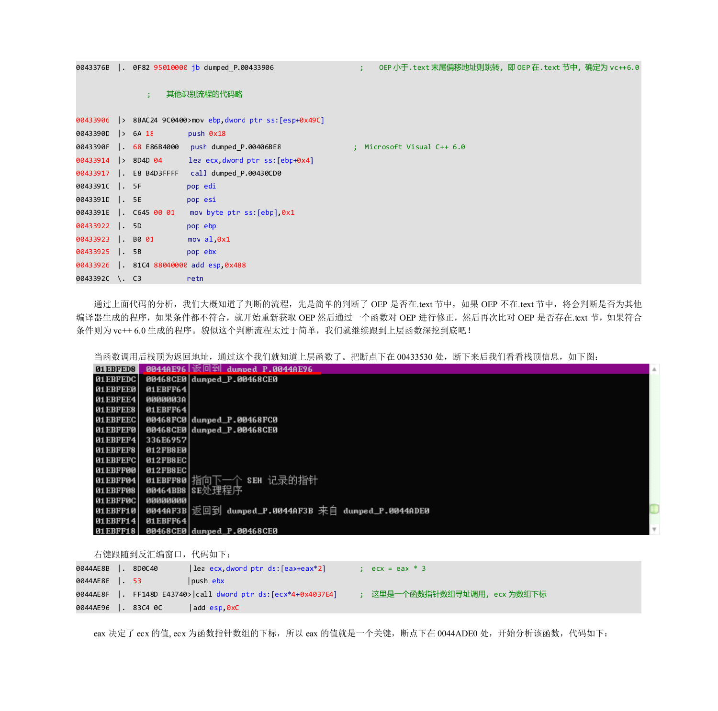0043376B |. 0F82 95010000 jb dumped\_P.00433906 ; OEP 小于.text 末尾偏移地址则跳转, 即 OEP 在.text 节中, 确定为 vc++6.0

## ; 其他识别流程的代码略

|                |                              | 00433906 > 8BAC24 9C0400>mov ebp, dword ptr ss: [esp+0x49C] |  |
|----------------|------------------------------|-------------------------------------------------------------|--|
|                | 0043390D > 6A 18 push 0x18   |                                                             |  |
|                |                              | 0043390F   68 E86B4000 push dumped P.00406BE8               |  |
|                |                              | 00433914 > 8D4D 04 lea ecx, dword ptr ss: [ebp+0x4]         |  |
|                |                              | 00433917 . E8 B4D3FFFF call dumped P.00430CD0               |  |
| 0043391C   SF  |                              | pop edi                                                     |  |
| 0043391D . 5E  |                              | pop esi                                                     |  |
|                |                              | 0043391E  . C645 00 01 mov byte ptr ss: [ebp], 0x1          |  |
| 00433922  . 5D |                              | <b>Example 19</b> pop ebp                                   |  |
|                | 00433923   B0 01 mov al, 0x1 |                                                             |  |
|                | 00433925   . 5B pop ebx      |                                                             |  |
|                |                              | 00433926  . 81C4 88040000 add esp, 0x488                    |  |
|                | 0043392C \. C3               | retn                                                        |  |
|                |                              |                                                             |  |

通过上面代码的分析,我们大概知道了判断的流程,先是简单的判断了 OEP 是否在.text 节中, 如果 OEP 不在.text 节中, 将会判断是否为其他 编译器生成的程序,如果条件都不符合,就开始重新获取 OEP 然后通过一个函数对 OEP 进行修正,然后再次比对 OEP 是否存在.text 节, 如果符合 条件则为 vc++ 6.0 生成的程序。貌似这个判断流程太过于简单, 我们就继续跟到上层函数深挖到底吧!

当函数调用后栈顶为返回地址,通过这个我们就知道上层函数了。把断点下在 00433530 处, 断下来后我们看看栈顶信息, 如下图:

| 01EBFED8         |                 |                                                       | A.            |
|------------------|-----------------|-------------------------------------------------------|---------------|
| 01 EBFEDC        |                 | 00468CE0 dumped_P.00468CE0                            |               |
| <b>01 EBFEE0</b> | 01EBFF64        |                                                       |               |
| 01EBFEE4         | 0000003A        |                                                       |               |
| <b>01 EBFEE8</b> | 01EBFF64        |                                                       |               |
| 01 EBFEEC        |                 | 00468FC0 dunped P.00468FC0                            |               |
| <b>01 EBFEF0</b> |                 | 00468CE0 dumped_P.00468CE0                            |               |
| <b>01 EBFEF4</b> | 336E6957        |                                                       |               |
| <b>01EBFEF8</b>  | 012FB8E0        |                                                       |               |
| 01 EBFEFC        | <b>012FB8EC</b> |                                                       |               |
| <b>01EBFF00</b>  | 012FB8EC        |                                                       |               |
| <b>01EBFF04</b>  |                 | 01EBFF80 指向下一个 SEH 记录的指针                              |               |
| <b>01EBFF08</b>  |                 | 00464BB8 SE处理程序                                       |               |
| 01EBFF0C         | 00000000        |                                                       |               |
| 01EBFF10         |                 | 0044AF3B   返回到 dumped_P.0044AF3B 来自 dumped_P.0044ADE0 |               |
| <b>01EBFF14</b>  | $01$ EBFF64     |                                                       |               |
| 01EBFF18         |                 | 00468CE0 dunped_P.00468CE0                            | $\mathcal{L}$ |

右键跟随到反汇编窗口,代码如下:

|                    | lea ecx,dword ptr ds: [eax+eax*2]                              | $\therefore$ ecx = eax * 3  |
|--------------------|----------------------------------------------------------------|-----------------------------|
|                    | lpush ebx                                                      |                             |
|                    | 0044AE8F  . FF148D E43740> call dword ptr ds: [ecx*4+0x4037E4] | ; 这里是一个函数指针数组寻址调用,ecx 为数组下标 |
| 0044AE96   83C4 0C | add esp.0xC                                                    |                             |

eax 决定了 ecx 的值, ecx 为函数指针数组的下标, 所以 eax 的值就是一个关键, 断点下在 0044ADE0 处, 开始分析该函数, 代码如下: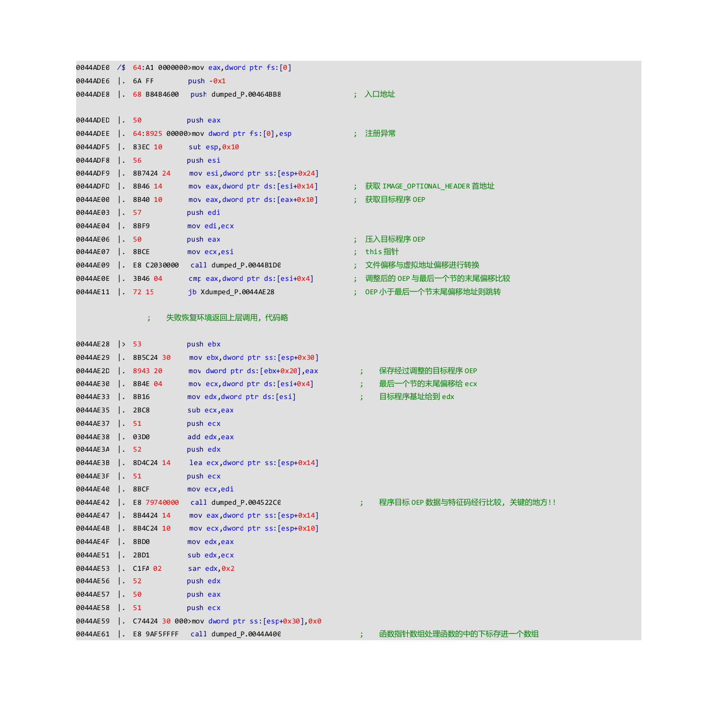|           |                        |                         | 0044ADEC /\$ 64:A1 0000000>mov eax, dword ptr fs: [0] |                      |                                                      |
|-----------|------------------------|-------------------------|-------------------------------------------------------|----------------------|------------------------------------------------------|
| 0044ADE6  |                        | $\vert$ . 6A FF         | $push - 0x1$                                          |                      |                                                      |
| 0044ADE8  |                        | $\vert$ . 68 B84B4600   | push dumped_P.00464BB8                                |                      | ; 入口地址                                               |
|           |                        |                         |                                                       |                      |                                                      |
| 0044ADED  | $\lfloor . \rfloor$ 50 |                         | push eax                                              |                      |                                                      |
| 0044ADEE  |                        |                         | $\vert$ . 64:8925 00000>mov dword ptr fs: $[0]$ ,esp  |                      | ; 注册异常                                               |
| 0044ADF5  |                        | $\vert . 83EC 10 \vert$ | sub esp, 0x10                                         |                      |                                                      |
| 0044ADF8  |                        | $\lfloor . \rfloor$ 56  | push esi                                              |                      |                                                      |
| 0044ADF9  |                        | $\vert$ . 8B7424 24     | mov esi, dword ptr ss: [esp+0x24]                     |                      |                                                      |
| 0044ADFD  |                        | $\vert$ . 8B46 14       | mov eax, dword ptr ds: [esi+0x14]                     |                      | ; 获取        IMAGE_OPTIONAL_HEADER 首地址                |
| 0044AE00  |                        | $\vert$ . 8B40 10       | mov eax, dword ptr ds: [eax+0x10]                     |                      | ; 获取目标程序 OEP                                         |
| 0044AE03  |                        | $\vert \cdot \vert$ 57  | push edi                                              |                      |                                                      |
| 0044AE04  |                        | $\vert$ . 8BF9          | mov edi, ecx                                          |                      |                                                      |
| 0044AE06  | $\vert$ . 50           |                         | push eax                                              | $\ddot{\phantom{1}}$ | 压入目标程序 OEP                                           |
| 0044AE07  |                        | $\vert$ . 8BCE          | mov ecx, esi                                          |                      | this 指针                                              |
| 0044AE09  | $\mathbf{L}$           | E8 C2030000             | call dumped_P.0044B1D0                                | $\ddot{\phantom{1}}$ | 文件偏移与虚拟地址偏移进行转换                                      |
| 0044AE0E  |                        | $\vert$ . 3B46 04       | cmp eax, dword ptr ds: [esi+0x4]                      | 5.                   | 调整后的 OEP 与最后一个节的末尾偏移比较                               |
| 0044AE11  |                        | $\vert$ . 72 15         | jb Xdumped_P.0044AE28                                 | ÷.                   | OEP 小于最后一个节末尾偏移地址则跳转                                 |
|           |                        |                         |                                                       |                      |                                                      |
|           |                        | ÷                       | 失败恢复环境返回上层调用,代码略                                      |                      |                                                      |
|           |                        |                         |                                                       |                      |                                                      |
| 0044AE28  | $\vert \rangle$ 53     |                         | push ebx                                              |                      |                                                      |
| 0044AE29  |                        | $\vert$ . 8B5C24 30     | mov ebx, dword ptr ss: [esp+0x30]                     |                      |                                                      |
| 0044AE2D  |                        | $\vert$ . 8943 20       | mov dword ptr ds: [ebx+0x20], eax                     |                      | 保存经过调整的目标程序 OEP<br>$\mathbf{E}$                      |
| 0044AE30  |                        | $\vert$ . 8B4E 04       | mov ecx, dword ptr ds: [esi+0x4]                      |                      | 最后一个节的末尾偏移给 ecx<br>3.                                |
| 0044AE33  | ۱.                     | 8B16                    | mov edx, dword ptr ds: [esi]                          |                      | 目标程序基址给到 edx<br>$\mathbf{E}$                         |
| 0044AE35  |                        | $\vert$ . 2BC8          | sub ecx, eax                                          |                      |                                                      |
| 0044AE37  |                        | . 51                    | push ecx                                              |                      |                                                      |
| 0044AE38  |                        | $\vert . \vert$ 03D0    | add edx, eax                                          |                      |                                                      |
| 0044AE 3A |                        | l. 52                   | push edx                                              |                      |                                                      |
| 0044AE3B  |                        | . 8D4C24 14             | lea ecx, dword ptr ss: [esp+0x14]                     |                      |                                                      |
| 0044AE3F  |                        | . 51                    | push ecx                                              |                      |                                                      |
| 0044AE40  |                        | $\vert$ . 8BCF          | mov ecx, edi                                          |                      |                                                      |
| 0044AE42  | $\mathsf{L}$           | E8 79740000             | call dumped_P.004522C0                                |                      | 程序目标 OEP 数据与特征码经行比较, 关键的地方!!<br>$\ddot{\phantom{a}}$ |
| 0044AE47  |                        | $\vert$ . 8B4424 14     | mov eax, dword ptr ss: [esp+0x14]                     |                      |                                                      |
| 0044AE4B  |                        | $\vert$ . 8B4C24 10     | mov ecx, dword ptr ss: [esp+0x10]                     |                      |                                                      |
| 0044AE4F  |                        | $\vert$ . 8BD0          | mov edx, eax                                          |                      |                                                      |
| 0044AE51  | $\vert \cdot \vert$    | 2BD1                    | sub edx, ecx                                          |                      |                                                      |
| 0044AE53  |                        | $\vert$ . C1FA 02       | sar edx, 0x2                                          |                      |                                                      |
| 0044AE56  |                        | $\lfloor . \rfloor$ 52  | push edx                                              |                      |                                                      |
| 0044AE57  |                        | - 50                    | push eax                                              |                      |                                                      |
| 0044AE58  |                        | . 51                    | push ecx                                              |                      |                                                      |
| 0044AE59  |                        |                         | . C74424 30 000>mov dword ptr ss: [esp+0x30], 0x0     |                      |                                                      |
| 0044AE61  |                        | E8 9AF5FFFF             | call dumped_P.0044A400                                |                      | 函数指针数组处理函数的中的下标存进一个数组                                |